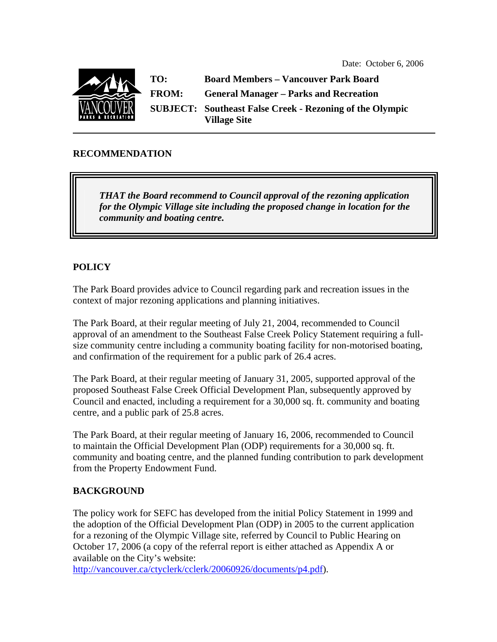

### **RECOMMENDATION**

*THAT the Board recommend to Council approval of the rezoning application for the Olympic Village site including the proposed change in location for the community and boating centre.* 

# **POLICY**

The Park Board provides advice to Council regarding park and recreation issues in the context of major rezoning applications and planning initiatives.

The Park Board, at their regular meeting of July 21, 2004, recommended to Council approval of an amendment to the Southeast False Creek Policy Statement requiring a fullsize community centre including a community boating facility for non-motorised boating, and confirmation of the requirement for a public park of 26.4 acres.

The Park Board, at their regular meeting of January 31, 2005, supported approval of the proposed Southeast False Creek Official Development Plan, subsequently approved by Council and enacted, including a requirement for a 30,000 sq. ft. community and boating centre, and a public park of 25.8 acres.

The Park Board, at their regular meeting of January 16, 2006, recommended to Council to maintain the Official Development Plan (ODP) requirements for a 30,000 sq. ft. community and boating centre, and the planned funding contribution to park development from the Property Endowment Fund.

#### **BACKGROUND**

The policy work for SEFC has developed from the initial Policy Statement in 1999 and the adoption of the Official Development Plan (ODP) in 2005 to the current application for a rezoning of the Olympic Village site, referred by Council to Public Hearing on October 17, 2006 (a copy of the referral report is either attached as Appendix A or available on the City's website:

http://vancouver.ca/ctyclerk/cclerk/20060926/documents/p4.pdf).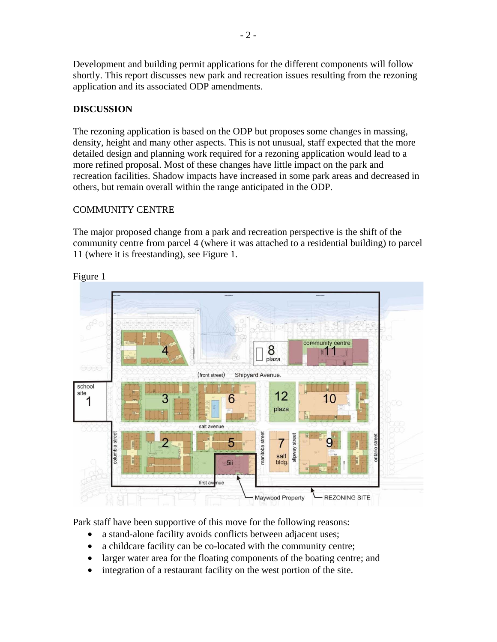Development and building permit applications for the different components will follow shortly. This report discusses new park and recreation issues resulting from the rezoning application and its associated ODP amendments.

# **DISCUSSION**

The rezoning application is based on the ODP but proposes some changes in massing, density, height and many other aspects. This is not unusual, staff expected that the more detailed design and planning work required for a rezoning application would lead to a more refined proposal. Most of these changes have little impact on the park and recreation facilities. Shadow impacts have increased in some park areas and decreased in others, but remain overall within the range anticipated in the ODP.

# COMMUNITY CENTRE

The major proposed change from a park and recreation perspective is the shift of the community centre from parcel 4 (where it was attached to a residential building) to parcel 11 (where it is freestanding), see Figure 1.



Figure 1

Park staff have been supportive of this move for the following reasons:

- a stand-alone facility avoids conflicts between adjacent uses;
- a childcare facility can be co-located with the community centre;
- larger water area for the floating components of the boating centre; and
- integration of a restaurant facility on the west portion of the site.